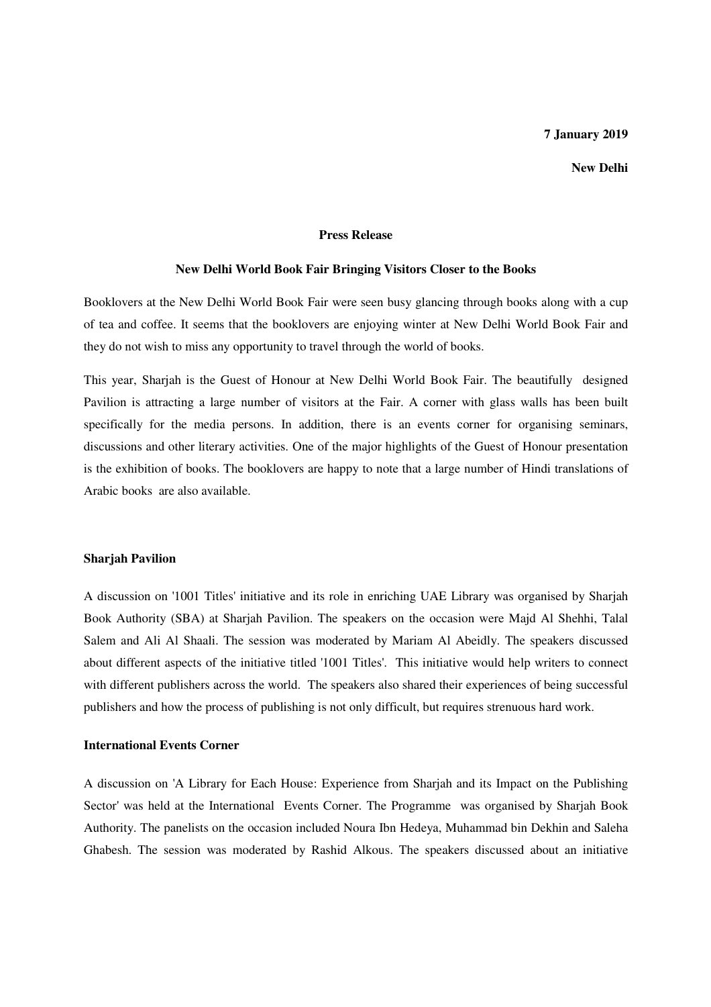**New Delhi** 

### **Press Release**

## **New Delhi World Book Fair Bringing Visitors Closer to the Books**

Booklovers at the New Delhi World Book Fair were seen busy glancing through books along with a cup of tea and coffee. It seems that the booklovers are enjoying winter at New Delhi World Book Fair and they do not wish to miss any opportunity to travel through the world of books.

This year, Sharjah is the Guest of Honour at New Delhi World Book Fair. The beautifully designed Pavilion is attracting a large number of visitors at the Fair. A corner with glass walls has been built specifically for the media persons. In addition, there is an events corner for organising seminars, discussions and other literary activities. One of the major highlights of the Guest of Honour presentation is the exhibition of books. The booklovers are happy to note that a large number of Hindi translations of Arabic books are also available.

#### **Sharjah Pavilion**

A discussion on '1001 Titles' initiative and its role in enriching UAE Library was organised by Sharjah Book Authority (SBA) at Sharjah Pavilion. The speakers on the occasion were Majd Al Shehhi, Talal Salem and Ali Al Shaali. The session was moderated by Mariam Al Abeidly. The speakers discussed about different aspects of the initiative titled '1001 Titles'. This initiative would help writers to connect with different publishers across the world. The speakers also shared their experiences of being successful publishers and how the process of publishing is not only difficult, but requires strenuous hard work.

#### **International Events Corner**

A discussion on 'A Library for Each House: Experience from Sharjah and its Impact on the Publishing Sector' was held at the International Events Corner. The Programme was organised by Sharjah Book Authority. The panelists on the occasion included Noura Ibn Hedeya, Muhammad bin Dekhin and Saleha Ghabesh. The session was moderated by Rashid Alkous. The speakers discussed about an initiative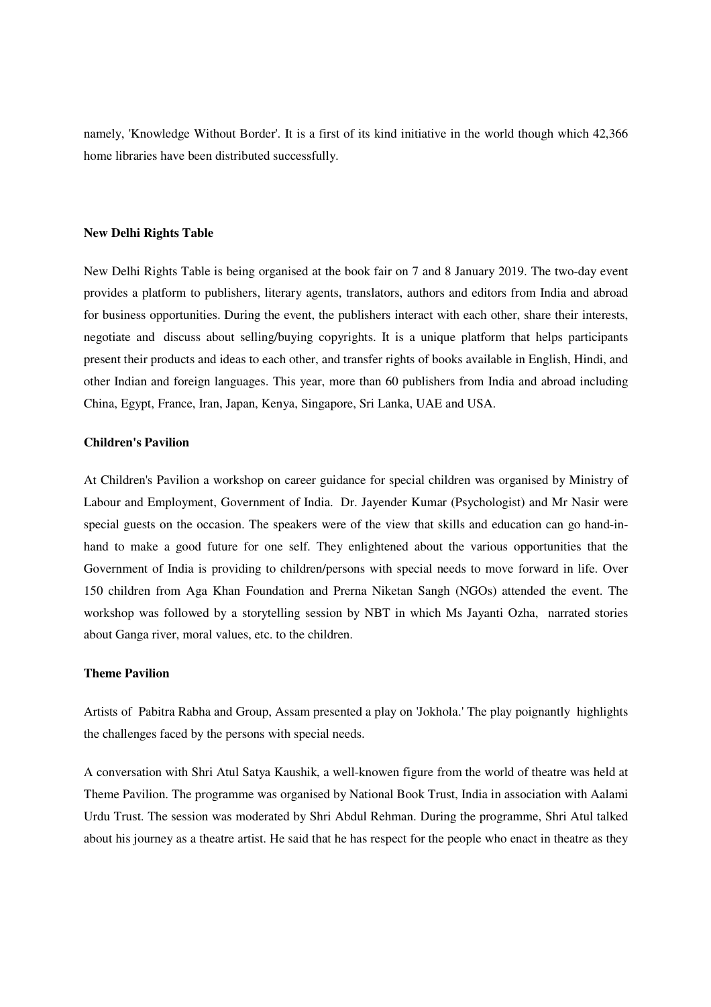namely, 'Knowledge Without Border'. It is a first of its kind initiative in the world though which 42,366 home libraries have been distributed successfully.

#### **New Delhi Rights Table**

New Delhi Rights Table is being organised at the book fair on 7 and 8 January 2019. The two-day event provides a platform to publishers, literary agents, translators, authors and editors from India and abroad for business opportunities. During the event, the publishers interact with each other, share their interests, negotiate and discuss about selling/buying copyrights. It is a unique platform that helps participants present their products and ideas to each other, and transfer rights of books available in English, Hindi, and other Indian and foreign languages. This year, more than 60 publishers from India and abroad including China, Egypt, France, Iran, Japan, Kenya, Singapore, Sri Lanka, UAE and USA.

# **Children's Pavilion**

At Children's Pavilion a workshop on career guidance for special children was organised by Ministry of Labour and Employment, Government of India. Dr. Jayender Kumar (Psychologist) and Mr Nasir were special guests on the occasion. The speakers were of the view that skills and education can go hand-inhand to make a good future for one self. They enlightened about the various opportunities that the Government of India is providing to children/persons with special needs to move forward in life. Over 150 children from Aga Khan Foundation and Prerna Niketan Sangh (NGOs) attended the event. The workshop was followed by a storytelling session by NBT in which Ms Jayanti Ozha, narrated stories about Ganga river, moral values, etc. to the children.

## **Theme Pavilion**

Artists of Pabitra Rabha and Group, Assam presented a play on 'Jokhola.' The play poignantly highlights the challenges faced by the persons with special needs.

A conversation with Shri Atul Satya Kaushik, a well-knowen figure from the world of theatre was held at Theme Pavilion. The programme was organised by National Book Trust, India in association with Aalami Urdu Trust. The session was moderated by Shri Abdul Rehman. During the programme, Shri Atul talked about his journey as a theatre artist. He said that he has respect for the people who enact in theatre as they